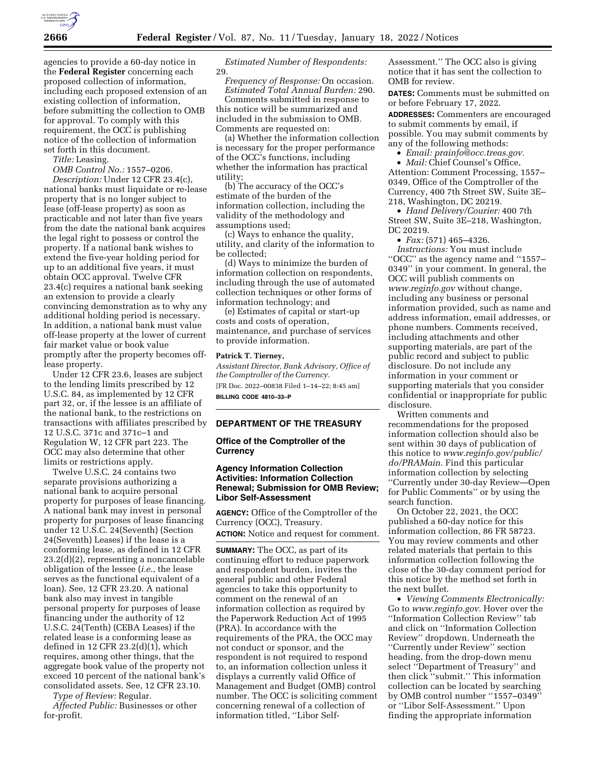

agencies to provide a 60-day notice in the **Federal Register** concerning each proposed collection of information, including each proposed extension of an existing collection of information, before submitting the collection to OMB for approval. To comply with this requirement, the OCC is publishing notice of the collection of information set forth in this document.

*Title:* Leasing.

*OMB Control No.:* 1557–0206. *Description:* Under 12 CFR 23.4(c), national banks must liquidate or re-lease property that is no longer subject to lease (off-lease property) as soon as practicable and not later than five years from the date the national bank acquires the legal right to possess or control the property. If a national bank wishes to extend the five-year holding period for up to an additional five years, it must obtain OCC approval. Twelve CFR 23.4(c) requires a national bank seeking an extension to provide a clearly convincing demonstration as to why any additional holding period is necessary. In addition, a national bank must value off-lease property at the lower of current fair market value or book value promptly after the property becomes offlease property.

Under 12 CFR 23.6, leases are subject to the lending limits prescribed by 12 U.S.C. 84, as implemented by 12 CFR part 32, or, if the lessee is an affiliate of the national bank, to the restrictions on transactions with affiliates prescribed by 12 U.S.C. 371c and 371c–1 and Regulation W, 12 CFR part 223. The OCC may also determine that other limits or restrictions apply.

Twelve U.S.C. 24 contains two separate provisions authorizing a national bank to acquire personal property for purposes of lease financing. A national bank may invest in personal property for purposes of lease financing under 12 U.S.C. 24(Seventh) (Section 24(Seventh) Leases) if the lease is a conforming lease, as defined in 12 CFR 23.2(d)(2), representing a noncancelable obligation of the lessee (*i.e.,* the lease serves as the functional equivalent of a loan). See, 12 CFR 23.20. A national bank also may invest in tangible personal property for purposes of lease financing under the authority of 12 U.S.C. 24(Tenth) (CEBA Leases) if the related lease is a conforming lease as defined in 12 CFR 23.2(d)(1), which requires, among other things, that the aggregate book value of the property not exceed 10 percent of the national bank's consolidated assets. See, 12 CFR 23.10.

*Type of Review:* Regular. *Affected Public:* Businesses or other for-profit.

*Estimated Number of Respondents:*  29.

*Frequency of Response:* On occasion. *Estimated Total Annual Burden:* 290. Comments submitted in response to

this notice will be summarized and included in the submission to OMB. Comments are requested on:

(a) Whether the information collection is necessary for the proper performance of the OCC's functions, including whether the information has practical utility;

(b) The accuracy of the OCC's estimate of the burden of the information collection, including the validity of the methodology and assumptions used;

(c) Ways to enhance the quality, utility, and clarity of the information to be collected;

(d) Ways to minimize the burden of information collection on respondents, including through the use of automated collection techniques or other forms of information technology; and

(e) Estimates of capital or start-up costs and costs of operation, maintenance, and purchase of services to provide information.

#### **Patrick T. Tierney,**

*Assistant Director, Bank Advisory, Office of the Comptroller of the Currency.*  [FR Doc. 2022–00838 Filed 1–14–22; 8:45 am] **BILLING CODE 4810–33–P** 

#### **DEPARTMENT OF THE TREASURY**

#### **Office of the Comptroller of the Currency**

## **Agency Information Collection Activities: Information Collection Renewal; Submission for OMB Review; Libor Self-Assessment**

**AGENCY:** Office of the Comptroller of the Currency (OCC), Treasury. **ACTION:** Notice and request for comment.

**SUMMARY:** The OCC, as part of its continuing effort to reduce paperwork and respondent burden, invites the general public and other Federal agencies to take this opportunity to comment on the renewal of an information collection as required by the Paperwork Reduction Act of 1995 (PRA). In accordance with the requirements of the PRA, the OCC may not conduct or sponsor, and the respondent is not required to respond to, an information collection unless it displays a currently valid Office of Management and Budget (OMB) control number. The OCC is soliciting comment concerning renewal of a collection of information titled, ''Libor SelfAssessment.'' The OCC also is giving notice that it has sent the collection to OMB for review.

**DATES:** Comments must be submitted on or before February 17, 2022.

**ADDRESSES:** Commenters are encouraged to submit comments by email, if possible. You may submit comments by any of the following methods:

• *Email: [prainfo@occ.treas.gov.](mailto:prainfo@occ.treas.gov)* 

• *Mail: Chief Counsel's Office,* Attention: Comment Processing, 1557– 0349, Office of the Comptroller of the Currency, 400 7th Street SW, Suite 3E– 218, Washington, DC 20219.

• *Hand Delivery/Courier:* 400 7th Street SW, Suite 3E–218, Washington, DC 20219.

• *Fax:* (571) 465–4326.

*Instructions:* You must include ''OCC'' as the agency name and ''1557– 0349'' in your comment. In general, the OCC will publish comments on *[www.reginfo.gov](http://www.reginfo.gov)* without change, including any business or personal information provided, such as name and address information, email addresses, or phone numbers. Comments received, including attachments and other supporting materials, are part of the public record and subject to public disclosure. Do not include any information in your comment or supporting materials that you consider confidential or inappropriate for public disclosure.

Written comments and recommendations for the proposed information collection should also be sent within 30 days of publication of this notice to *[www.reginfo.gov/public/](http://www.reginfo.gov/public/do/PRAMain) [do/PRAMain.](http://www.reginfo.gov/public/do/PRAMain)* Find this particular information collection by selecting ''Currently under 30-day Review—Open for Public Comments'' or by using the search function.

On October 22, 2021, the OCC published a 60-day notice for this information collection, 86 FR 58723. You may review comments and other related materials that pertain to this information collection following the close of the 30-day comment period for this notice by the method set forth in the next bullet.

• *Viewing Comments Electronically:*  Go to *[www.reginfo.gov.](http://www.reginfo.gov)* Hover over the ''Information Collection Review'' tab and click on ''Information Collection Review'' dropdown. Underneath the ''Currently under Review'' section heading, from the drop-down menu select ''Department of Treasury'' and then click ''submit.'' This information collection can be located by searching by OMB control number ''1557–0349'' or ''Libor Self-Assessment.'' Upon finding the appropriate information